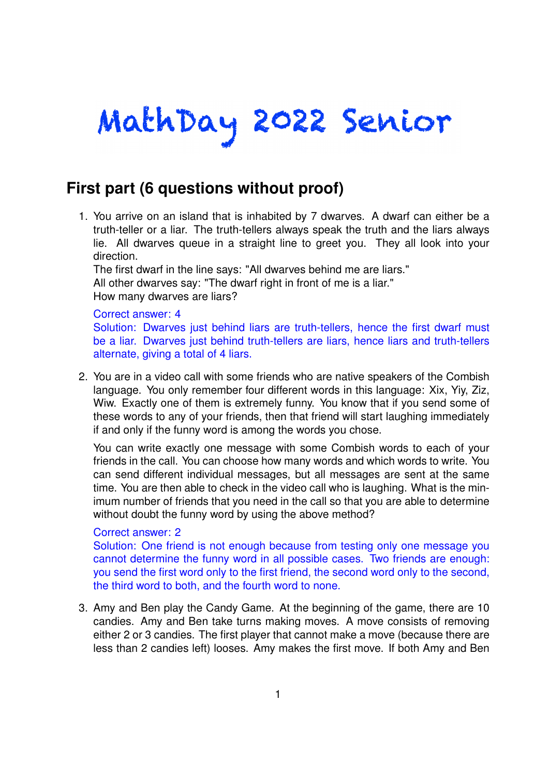# MathDay 2022 Senior

## **First part (6 questions without proof)**

1. You arrive on an island that is inhabited by 7 dwarves. A dwarf can either be a truth-teller or a liar. The truth-tellers always speak the truth and the liars always lie. All dwarves queue in a straight line to greet you. They all look into your direction.

The first dwarf in the line says: "All dwarves behind me are liars." All other dwarves say: "The dwarf right in front of me is a liar." How many dwarves are liars?

#### Correct answer: 4

Solution: Dwarves just behind liars are truth-tellers, hence the first dwarf must be a liar. Dwarves just behind truth-tellers are liars, hence liars and truth-tellers alternate, giving a total of 4 liars.

2. You are in a video call with some friends who are native speakers of the Combish language. You only remember four different words in this language: Xix, Yiy, Ziz, Wiw. Exactly one of them is extremely funny. You know that if you send some of these words to any of your friends, then that friend will start laughing immediately if and only if the funny word is among the words you chose.

You can write exactly one message with some Combish words to each of your friends in the call. You can choose how many words and which words to write. You can send different individual messages, but all messages are sent at the same time. You are then able to check in the video call who is laughing. What is the minimum number of friends that you need in the call so that you are able to determine without doubt the funny word by using the above method?

#### Correct answer: 2

Solution: One friend is not enough because from testing only one message you cannot determine the funny word in all possible cases. Two friends are enough: you send the first word only to the first friend, the second word only to the second, the third word to both, and the fourth word to none.

3. Amy and Ben play the Candy Game. At the beginning of the game, there are 10 candies. Amy and Ben take turns making moves. A move consists of removing either 2 or 3 candies. The first player that cannot make a move (because there are less than 2 candies left) looses. Amy makes the first move. If both Amy and Ben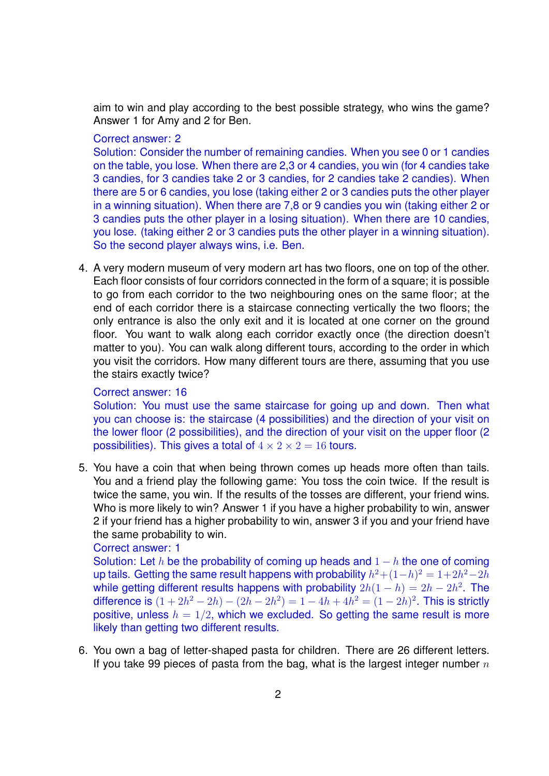aim to win and play according to the best possible strategy, who wins the game? Answer 1 for Amy and 2 for Ben.

### Correct answer: 2

Solution: Consider the number of remaining candies. When you see 0 or 1 candies on the table, you lose. When there are 2,3 or 4 candies, you win (for 4 candies take 3 candies, for 3 candies take 2 or 3 candies, for 2 candies take 2 candies). When there are 5 or 6 candies, you lose (taking either 2 or 3 candies puts the other player in a winning situation). When there are 7,8 or 9 candies you win (taking either 2 or 3 candies puts the other player in a losing situation). When there are 10 candies, you lose. (taking either 2 or 3 candies puts the other player in a winning situation). So the second player always wins, i.e. Ben.

4. A very modern museum of very modern art has two floors, one on top of the other. Each floor consists of four corridors connected in the form of a square; it is possible to go from each corridor to the two neighbouring ones on the same floor; at the end of each corridor there is a staircase connecting vertically the two floors; the only entrance is also the only exit and it is located at one corner on the ground floor. You want to walk along each corridor exactly once (the direction doesn't matter to you). You can walk along different tours, according to the order in which you visit the corridors. How many different tours are there, assuming that you use the stairs exactly twice?

#### Correct answer: 16

Solution: You must use the same staircase for going up and down. Then what you can choose is: the staircase (4 possibilities) and the direction of your visit on the lower floor (2 possibilities), and the direction of your visit on the upper floor (2 possibilities). This gives a total of  $4 \times 2 \times 2 = 16$  tours.

5. You have a coin that when being thrown comes up heads more often than tails. You and a friend play the following game: You toss the coin twice. If the result is twice the same, you win. If the results of the tosses are different, your friend wins. Who is more likely to win? Answer 1 if you have a higher probability to win, answer 2 if your friend has a higher probability to win, answer 3 if you and your friend have the same probability to win.

```
Correct answer: 1
```
Solution: Let *h* be the probability of coming up heads and  $1 - h$  the one of coming up tails. Getting the same result happens with probability  $h^2 + (1-h)^2 = 1+2h^2-2h$ while getting different results happens with probability  $2h(1-h) = 2h - 2h^2$ . The difference is  $(1 + 2h^2 - 2h) - (2h - 2h^2) = 1 - 4h + 4h^2 = (1 - 2h)^2$ . This is strictly positive, unless  $h = 1/2$ , which we excluded. So getting the same result is more likely than getting two different results.

6. You own a bag of letter-shaped pasta for children. There are 26 different letters. If you take 99 pieces of pasta from the bag, what is the largest integer number *n*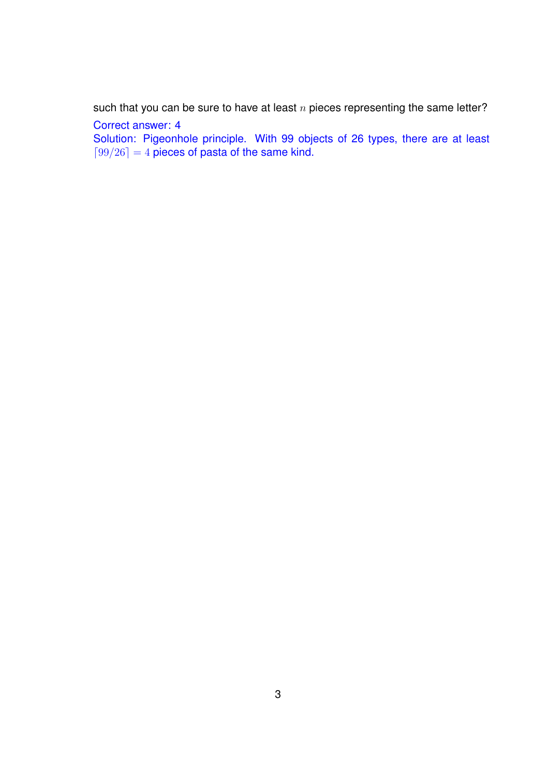such that you can be sure to have at least *n* pieces representing the same letter?

Correct answer: 4

Solution: Pigeonhole principle. With 99 objects of 26 types, there are at least  $[99/26] = 4$  pieces of pasta of the same kind.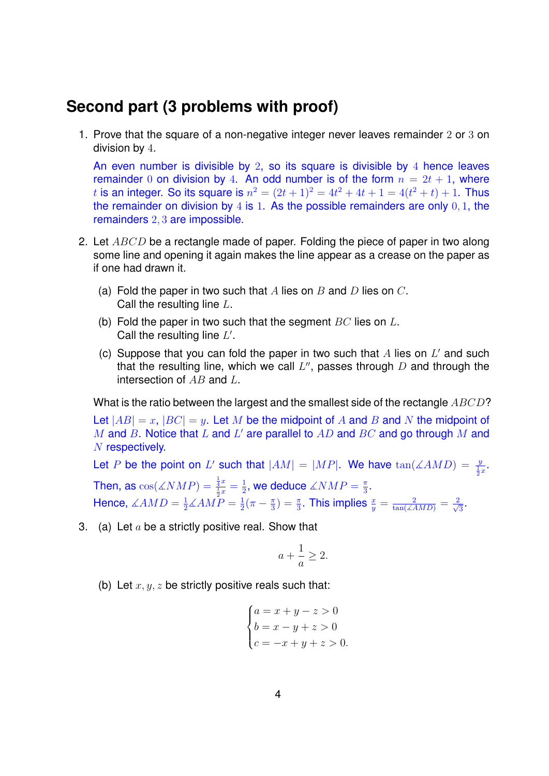## **Second part (3 problems with proof)**

1. Prove that the square of a non-negative integer never leaves remainder 2 or 3 on division by 4.

An even number is divisible by 2, so its square is divisible by 4 hence leaves remainder 0 on division by 4. An odd number is of the form  $n = 2t + 1$ , where *t* is an integer. So its square is  $n^2 = (2t + 1)^2 = 4t^2 + 4t + 1 = 4(t^2 + t) + 1$ . Thus the remainder on division by 4 is 1. As the possible remainders are only 0*,* 1, the remainders 2*,* 3 are impossible.

- 2. Let *ABCD* be a rectangle made of paper. Folding the piece of paper in two along some line and opening it again makes the line appear as a crease on the paper as if one had drawn it.
	- (a) Fold the paper in two such that *A* lies on *B* and *D* lies on *C*. Call the resulting line *L*.
	- (b) Fold the paper in two such that the segment *BC* lies on *L*. Call the resulting line L'.
	- (c) Suppose that you can fold the paper in two such that  $A$  lies on  $L'$  and such that the resulting line, which we call  $L''$ , passes through *D* and through the intersection of *AB* and *L*.

What is the ratio between the largest and the smallest side of the rectangle *ABCD*?

Let  $|AB| = x$ ,  $|BC| = y$ . Let M be the midpoint of A and B and N the midpoint of *M* and *B*. Notice that *L* and *L'* are parallel to *AD* and *BC* and go through *M* and *N* respectively.

Let *P* be the point on *L'* such that  $|AM| = |MP|$ . We have  $tan(\angle AMD) = \frac{y}{\frac{1}{2}x}$ . Then, as  $\cos(\measuredangle NMP) = \frac{\frac{1}{4}x}{\frac{1}{2}x} = \frac{1}{2}$ Hence,  $\angle AMD = \frac{1}{2}\angle AMP = \frac{1}{2}$  $\frac{1}{2}$ , we deduce  $\measuredangle NMP = \frac{\pi}{3}$  $\frac{\pi}{3}$ .  $\frac{1}{2}(\pi - \frac{\pi}{3})$  $\left(\frac{\pi}{3}\right) = \frac{\pi}{3}$ . This implies  $\frac{x}{y} = \frac{2}{\tan(AM_D)} = \frac{2}{\sqrt{2}}$  $\frac{1}{3}$ .

3. (a) Let *a* be a strictly positive real. Show that

$$
a + \frac{1}{a} \ge 2.
$$

(b) Let  $x, y, z$  be strictly positive reals such that:

$$
\begin{cases}\na = x + y - z > 0 \\
b = x - y + z > 0 \\
c = -x + y + z > 0.\n\end{cases}
$$